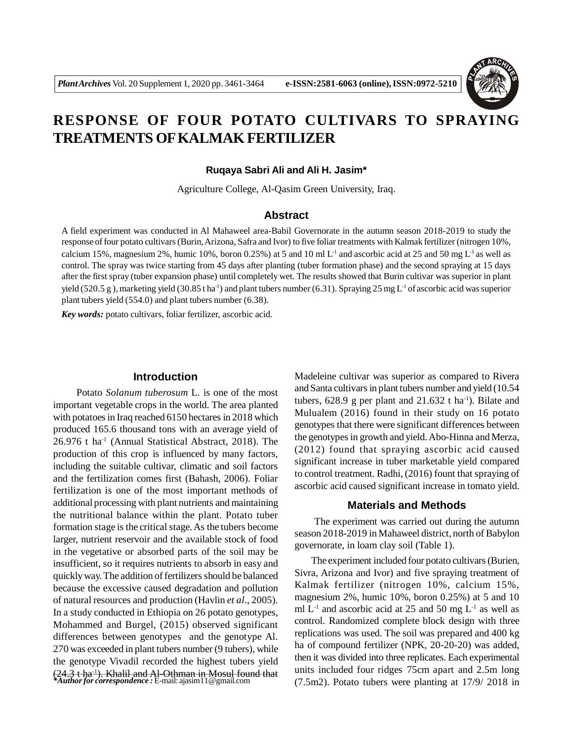

# **RESPONSE OF FOUR POTATO CULTIVARS TO SPRAYING TREATMENTS OF KALMAK FERTILIZER**

#### **Ruqaya Sabri Ali and Ali H. Jasim\***

Agriculture College, Al-Qasim Green University, Iraq.

## **Abstract**

A field experiment was conducted in Al Mahaweel area-Babil Governorate in the autumn season 2018-2019 to study the response of four potato cultivars (Burin, Arizona, Safra and Ivor) to five foliar treatments with Kalmak fertilizer (nitrogen 10%, calcium 15%, magnesium 2%, humic 10%, boron 0.25%) at 5 and 10 ml  $L^1$  and ascorbic acid at 25 and 50 mg  $L^1$  as well as control. The spray was twice starting from 45 days after planting (tuber formation phase) and the second spraying at 15 days after the first spray (tuber expansion phase) until completely wet. The results showed that Burin cultivar was superior in plant yield (520.5 g), marketing yield (30.85 t ha<sup>-1</sup>) and plant tubers number (6.31). Spraying 25 mg L<sup>-1</sup> of ascorbic acid was superior plant tubers yield (554.0) and plant tubers number (6.38).

*Key words:* potato cultivars, foliar fertilizer, ascorbic acid.

## **Introduction**

 Potato *Solanum tuberosum* L. is one of the most important vegetable crops in the world. The area planted with potatoes in Iraq reached 6150 hectares in 2018 which produced 165.6 thousand tons with an average yield of 26.976 t ha-1 (Annual Statistical Abstract, 2018). The production of this crop is influenced by many factors, including the suitable cultivar, climatic and soil factors and the fertilization comes first (Bahash, 2006). Foliar fertilization is one of the most important methods of additional processing with plant nutrients and maintaining the nutritional balance within the plant. Potato tuber formation stage is the critical stage. As the tubers become larger, nutrient reservoir and the available stock of food in the vegetative or absorbed parts of the soil may be insufficient, so it requires nutrients to absorb in easy and quickly way. The addition of fertilizers should be balanced because the excessive caused degradation and pollution of natural resources and production (Havlin *et al*., 2005). In a study conducted in Ethiopia on 26 potato genotypes, Mohammed and Burgel, (2015) observed significant differences between genotypes and the genotype Al. 270 was exceeded in plant tubers number (9 tubers), while the genotype Vivadil recorded the highest tubers yield (24.3 t ha-1). Khalil and Al-Othman in Mosul found that *\*Author for correspondence :* E-mail: ajasim11@gmail.com

Madeleine cultivar was superior as compared to Rivera and Santa cultivars in plant tubers number and yield (10.54 tubers,  $628.9$  g per plant and  $21.632$  t ha<sup>-1</sup>). Bilate and Mulualem (2016) found in their study on 16 potato genotypes that there were significant differences between the genotypes in growth and yield. Abo-Hinna and Merza, (2012) found that spraying ascorbic acid caused significant increase in tuber marketable yield compared to control treatment. Radhi, (2016) fount that spraying of ascorbic acid caused significant increase in tomato yield.

## **Materials and Methods**

 The experiment was carried out during the autumn season 2018-2019 in Mahaweel district, north of Babylon governorate, in loam clay soil (Table 1).

The experiment included four potato cultivars (Burien, Sivra, Arizona and Ivor) and five spraying treatment of Kalmak fertilizer (nitrogen 10%, calcium 15%, magnesium 2%, humic 10%, boron 0.25%) at 5 and 10 ml  $L^{-1}$  and ascorbic acid at 25 and 50 mg  $L^{-1}$  as well as control. Randomized complete block design with three replications was used. The soil was prepared and 400 kg ha of compound fertilizer (NPK, 20-20-20) was added, then it was divided into three replicates. Each experimental units included four ridges 75cm apart and 2.5m long (7.5m2). Potato tubers were planting at 17/9/ 2018 in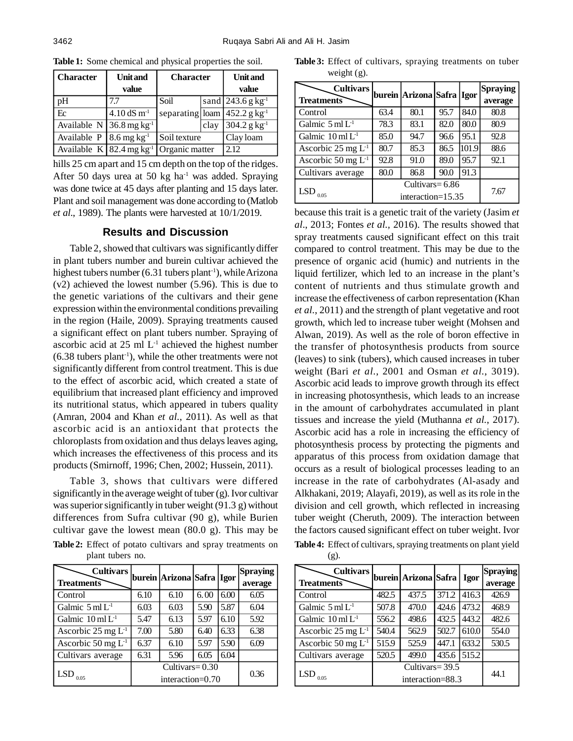| <b>Character</b>                        | <b>Unit and</b>                             | <b>Character</b>                                      |      | <b>Unit</b> and                            |  |
|-----------------------------------------|---------------------------------------------|-------------------------------------------------------|------|--------------------------------------------|--|
|                                         | value                                       |                                                       |      | value                                      |  |
| pH                                      | 7.7                                         | Soil                                                  |      | sand 243.6 g $kg^{-1}$                     |  |
| Ec                                      | $4.10\,\mathrm{dS}\,\mathrm{m}^{\text{-}1}$ |                                                       |      | separating loam $452.2$ g kg <sup>-1</sup> |  |
| Available N 36.8 mg kg <sup>-1</sup>    |                                             |                                                       | clay | $304.2$ g kg <sup>-1</sup>                 |  |
| Available $P$   8.6 mg kg <sup>-1</sup> |                                             | Soil texture                                          |      | Clay loam                                  |  |
|                                         |                                             | Available $K$ 82.4 mg kg <sup>-1</sup> Organic matter |      | 2.12                                       |  |

**Table 1:** Some chemical and physical properties the soil.

hills 25 cm apart and 15 cm depth on the top of the ridges. After 50 days urea at 50 kg ha<sup>-1</sup> was added. Spraying was done twice at 45 days after planting and 15 days later. Plant and soil management was done according to (Matlob *et al*., 1989). The plants were harvested at 10/1/2019.

# **Results and Discussion**

Table 2, showed that cultivars was significantly differ in plant tubers number and burein cultivar achieved the highest tubers number  $(6.31$  tubers plant<sup>-1</sup>), while Arizona (v2) achieved the lowest number (5.96). This is due to the genetic variations of the cultivars and their gene expression within the environmental conditions prevailing in the region (Haile, 2009). Spraying treatments caused a significant effect on plant tubers number. Spraying of ascorbic acid at 25 ml L-1 achieved the highest number  $(6.38$  tubers plant<sup>-1</sup>), while the other treatments were not significantly different from control treatment. This is due to the effect of ascorbic acid, which created a state of equilibrium that increased plant efficiency and improved its nutritional status, which appeared in tubers quality (Amran, 2004 and Khan *et al.*, 2011). As well as that ascorbic acid is an antioxidant that protects the chloroplasts from oxidation and thus delays leaves aging, which increases the effectiveness of this process and its products (Smirnoff, 1996; Chen, 2002; Hussein, 2011).

Table 3, shows that cultivars were differed significantly in the average weight of tuber (g). Ivor cultivar was superior significantly in tuber weight (91.3 g) without differences from Sufra cultivar (90 g), while Burien cultivar gave the lowest mean (80.0 g). This may be **Table 2:** Effect of potato cultivars and spray treatments on plant tubers no.

| <b>Cultivars</b><br><b>Treatments</b> |                                       | burein  Arizona  Safra  Igor |      |      | <b>Spraying</b><br>average |
|---------------------------------------|---------------------------------------|------------------------------|------|------|----------------------------|
| Control                               | 6.10                                  | 6.10                         | 6.00 | 6.00 | 6.05                       |
| Galmic $5 \text{ ml } L1$             | 6.03                                  | 6.03                         | 5.90 | 5.87 | 6.04                       |
| Galmic 10 ml L <sup>1</sup>           | 5.47                                  | 6.13                         | 5.97 | 6.10 | 5.92                       |
| Ascorbic 25 mg $L1$                   | 7.00                                  | 5.80                         | 6.40 | 6.33 | 6.38                       |
| Ascorbic 50 mg $L1$                   | 6.37                                  | 6.10                         | 5.97 | 5.90 | 6.09                       |
| Cultivars average                     | 6.31                                  | 5.96                         | 6.05 | 6.04 |                            |
| $LSD$ <sub>0.05</sub>                 | Cultivars= $0.30$<br>interaction=0.70 |                              |      | 0.36 |                            |

Table 3: Effect of cultivars, spraying treatments on tuber weight (g).

| <b>Cultivars</b><br><b>Treatments</b> |                                         | burein  Arizona   Safra   Igor |      |       | Spraying<br>average |
|---------------------------------------|-----------------------------------------|--------------------------------|------|-------|---------------------|
| Control                               | 63.4                                    | 80.1                           | 95.7 | 84.0  | 80.8                |
| Galmic $5 \text{ ml } L1$             | 78.3                                    | 83.1                           | 82.0 | 80.0  | 80.9                |
| Galmic $10 \text{ ml } L1$            | 85.0                                    | 94.7                           | 96.6 | 95.1  | 92.8                |
| Ascorbic $25 \text{ mg } L^{-1}$      | 80.7                                    | 85.3                           | 86.5 | 101.9 | 88.6                |
| Ascorbic 50 mg $L1$                   | 92.8                                    | 91.0                           | 89.0 | 95.7  | 92.1                |
| Cultivars average                     | 80.0                                    | 86.8                           | 90.0 | 91.3  |                     |
| $LSD$ <sub>0.05</sub>                 | Cultivars = $6.86$<br>interaction=15.35 |                                |      |       | 7.67                |

because this trait is a genetic trait of the variety (Jasim *et al*., 2013; Fontes *et al.,* 2016). The results showed that spray treatments caused significant effect on this trait compared to control treatment. This may be due to the presence of organic acid (humic) and nutrients in the liquid fertilizer, which led to an increase in the plant's content of nutrients and thus stimulate growth and increase the effectiveness of carbon representation (Khan *et al.*, 2011) and the strength of plant vegetative and root growth, which led to increase tuber weight (Mohsen and Alwan, 2019). As well as the role of boron effective in the transfer of photosynthesis products from source (leaves) to sink (tubers), which caused increases in tuber weight (Bari *et al.*, 2001 and Osman *et al.*, 3019). Ascorbic acid leads to improve growth through its effect in increasing photosynthesis, which leads to an increase in the amount of carbohydrates accumulated in plant tissues and increase the yield (Muthanna *et al.*, 2017). Ascorbic acid has a role in increasing the efficiency of photosynthesis process by protecting the pigments and apparatus of this process from oxidation damage that occurs as a result of biological processes leading to an increase in the rate of carbohydrates (Al-asady and Alkhakani, 2019; Alayafi, 2019), as well as its role in the division and cell growth, which reflected in increasing tuber weight (Cheruth, 2009). The interaction between the factors caused significant effect on tuber weight. Ivor **Table 4:** Effect of cultivars, spraying treatments on plant yield (g).

| <b>Cultivars</b><br><b>Treatments</b> |                                    | burein   Arizona   Safra |       | Igor  | <b>Spraying</b><br>average |
|---------------------------------------|------------------------------------|--------------------------|-------|-------|----------------------------|
| Control                               | 482.5                              | 437.5                    | 371.2 | 416.3 | 426.9                      |
| Galmic $5 \text{ ml } L1$             | 507.8                              | 470.0                    | 424.6 | 473.2 | 468.9                      |
| Galmic $10 \text{ ml } L1$            | 556.2                              | 498.6                    | 432.5 | 443.2 | 482.6                      |
| Ascorbic 25 mg $L1$                   | 540.4                              | 562.9                    | 502.7 | 610.0 | 554.0                      |
| Ascorbic 50 mg $L1$                   | 515.9                              | 525.9                    | 447.1 | 633.2 | 530.5                      |
| Cultivars average                     | 520.5                              | 499.0                    | 435.6 | 515.2 |                            |
| $LSD$ <sub>0.05</sub>                 | Cultivars=39.5<br>interaction=88.3 |                          |       |       | 44.1                       |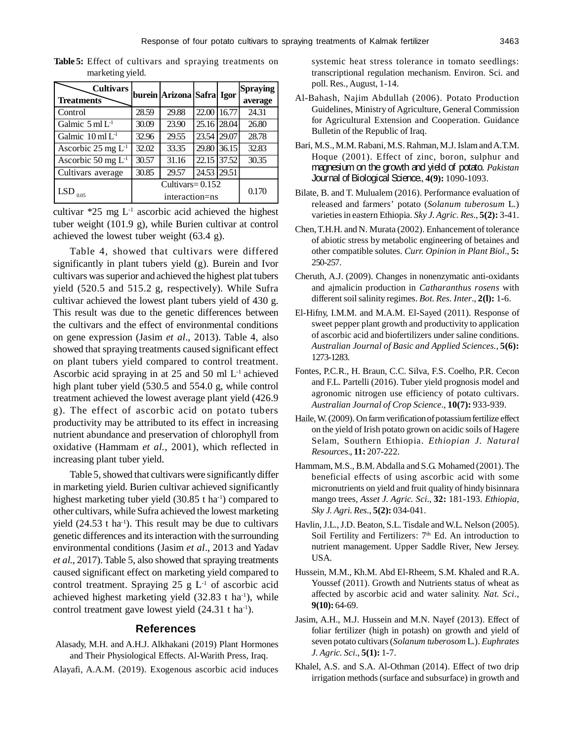| <b>Cultivars</b>                 |                    | burein Arizona Safra Igor |             |       | Spraying |
|----------------------------------|--------------------|---------------------------|-------------|-------|----------|
| <b>Treatments</b>                |                    |                           |             |       | average  |
| Control                          | 28.59              | 29.88                     | 22.00 16.77 |       | 24.31    |
| Galmic $5 \text{ ml } L1$        | 30.09              | 23.90                     | 25.16       | 28.04 | 26.80    |
| Galmic $10 \text{ ml } L1$       | 32.96              | 29.55                     | 23.54 29.07 |       | 28.78    |
| Ascorbic $25 \text{ mg } L^{-1}$ | 32.02              | 33.35                     | 29.80 36.15 |       | 32.83    |
| Ascorbic 50 mg $L-1$             | 30.57              | 31.16                     | 22.15       | 37.52 | 30.35    |
| Cultivars average                | 30.85              | 29.57                     | 24.53 29.51 |       |          |
|                                  | Cultivars= $0.152$ |                           |             |       |          |
| LSD $_{0.05}$                    | interaction=ns     |                           |             | 0.170 |          |

**Table 5:** Effect of cultivars and spraying treatments on marketing yield.

cultivar  $*25$  mg  $L<sup>-1</sup>$  ascorbic acid achieved the highest tuber weight (101.9 g), while Burien cultivar at control achieved the lowest tuber weight (63.4 g).

Table 4, showed that cultivars were differed significantly in plant tubers yield (g). Burein and Ivor cultivars was superior and achieved the highest plat tubers yield (520.5 and 515.2 g, respectively). While Sufra cultivar achieved the lowest plant tubers yield of 430 g. This result was due to the genetic differences between the cultivars and the effect of environmental conditions on gene expression (Jasim *et al*., 2013). Table 4, also showed that spraying treatments caused significant effect on plant tubers yield compared to control treatment. Ascorbic acid spraying in at 25 and 50 ml L -1 achieved high plant tuber yield (530.5 and 554.0 g, while control treatment achieved the lowest average plant yield (426.9 g). The effect of ascorbic acid on potato tubers productivity may be attributed to its effect in increasing nutrient abundance and preservation of chlorophyll from oxidative (Hammam *et al.*, 2001), which reflected in increasing plant tuber yield.

Table 5, showed that cultivars were significantly differ in marketing yield. Burien cultivar achieved significantly highest marketing tuber yield (30.85 t ha<sup>-1</sup>) compared to other cultivars, while Sufra achieved the lowest marketing yield  $(24.53 \text{ t} \text{ ha}^{-1})$ . This result may be due to cultivars genetic differences and its interaction with the surrounding environmental conditions (Jasim *et al*., 2013 and Yadav *et al.*, 2017). Table 5, also showed that spraying treatments caused significant effect on marketing yield compared to control treatment. Spraying  $25$  g  $L^{-1}$  of ascorbic acid achieved highest marketing yield  $(32.83 \text{ t} \text{ ha}^{-1})$ , while control treatment gave lowest yield  $(24.31 \text{ t} \text{ ha}^{-1})$ .

#### **References**

- Alasady, M.H. and A.H.J. Alkhakani (2019) Plant Hormones and Their Physiological Effects. Al-Warith Press, Iraq.
- Alayafi, A.A.M. (2019). Exogenous ascorbic acid induces

systemic heat stress tolerance in tomato seedlings: transcriptional regulation mechanism. Environ. Sci. and poll. Res., August, 1-14.

- Al-Bahash, Najim Abdullah (2006). Potato Production Guidelines, Ministry of Agriculture, General Commission for Agricultural Extension and Cooperation. Guidance Bulletin of the Republic of Iraq.
- Bari, M.S., M.M. Rabani, M.S. Rahman, M.J. Islam and A.T.M. Hoque (2001). Effect of zinc, boron, sulphur and magnesium on the growth and yield of potato. *Pakistan* Journal of Biological Science., **4(9):** 1090-1093.
- Bilate, B. and T. Mulualem (2016). Performance evaluation of released and farmers' potato (*Solanum tuberosum* L.) varieties in eastern Ethiopia. *Sky J. Agric. Res*., **5(2):** 3-41.
- Chen, T.H.H. and N. Murata (2002). Enhancement of tolerance of abiotic stress by metabolic engineering of betaines and other compatible solutes. *Curr. Opinion in Plant Biol*., **5:** 250-257.
- Cheruth, A.J. (2009). Changes in nonenzymatic anti-oxidants and ajmalicin production in *Catharanthus rosens* with different soil salinity regimes. *Bot. Res. Inter*., **2(l):** 1-6.
- El-Hifny, I.M.M. and M.A.M. El-Sayed (2011). Response of sweet pepper plant growth and productivity to application of ascorbic acid and biofertilizers under saline conditions. *Australian Journal of Basic and Applied Sciences.*, **5(6):** 1273-1283.
- Fontes, P.C.R., H. Braun, C.C. Silva, F.S. Coelho, P.R. Cecon and F.L. Partelli (2016). Tuber yield prognosis model and agronomic nitrogen use efficiency of potato cultivars. *Australian Journal of Crop Science*., **10(7):** 933-939.
- Haile, W. (2009). On farm verification of potassium fertilize effect on the yield of Irish potato grown on acidic soils of Hagere Selam, Southern Ethiopia. *Ethiopian J. Natural Resources*., **11:** 207-222.
- Hammam, M.S., B.M. Abdalla and S.G. Mohamed (2001). The beneficial effects of using ascorbic acid with some micronutrients on yield and fruit quality of hindy bisinnara mango trees, *Asset J. Agric. Sci*., **32:** 181-193. *Ethiopia, Sky J. Agri. Res*., **5(2):** 034-041.
- Havlin, J.L., J.D. Beaton, S.L. Tisdale and W.L. Nelson (2005). Soil Fertility and Fertilizers:  $7<sup>th</sup>$  Ed. An introduction to nutrient management. Upper Saddle River, New Jersey. USA.
- Hussein, M.M., Kh.M. Abd El-Rheem, S.M. Khaled and R.A. Youssef (2011). Growth and Nutrients status of wheat as affected by ascorbic acid and water salinity. *Nat. Sci*., **9(10):** 64-69.
- Jasim, A.H., M.J. Hussein and M.N. Nayef (2013). Effect of foliar fertilizer (high in potash) on growth and yield of seven potato cultivars (*Solanum tuberosom* L.). *Euphrates J. Agric. Sci*., **5(1):** 1-7.
- Khalel, A.S. and S.A. Al-Othman (2014). Effect of two drip irrigation methods (surface and subsurface) in growth and